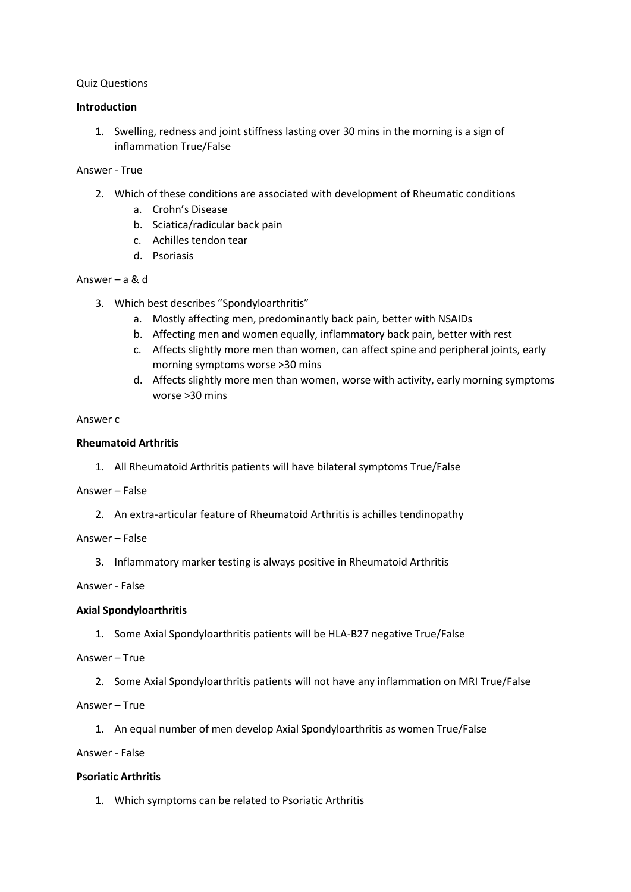## Quiz Questions

### **Introduction**

1. Swelling, redness and joint stiffness lasting over 30 mins in the morning is a sign of inflammation True/False

### Answer - True

- 2. Which of these conditions are associated with development of Rheumatic conditions
	- a. Crohn's Disease
	- b. Sciatica/radicular back pain
	- c. Achilles tendon tear
	- d. Psoriasis

### Answer – a & d

- 3. Which best describes "Spondyloarthritis"
	- a. Mostly affecting men, predominantly back pain, better with NSAIDs
	- b. Affecting men and women equally, inflammatory back pain, better with rest
	- c. Affects slightly more men than women, can affect spine and peripheral joints, early morning symptoms worse >30 mins
	- d. Affects slightly more men than women, worse with activity, early morning symptoms worse >30 mins

### Answer c

### **Rheumatoid Arthritis**

1. All Rheumatoid Arthritis patients will have bilateral symptoms True/False

#### Answer – False

2. An extra-articular feature of Rheumatoid Arthritis is achilles tendinopathy

### Answer – False

3. Inflammatory marker testing is always positive in Rheumatoid Arthritis

## Answer - False

## **Axial Spondyloarthritis**

1. Some Axial Spondyloarthritis patients will be HLA-B27 negative True/False

Answer – True

- 2. Some Axial Spondyloarthritis patients will not have any inflammation on MRI True/False
- Answer True
	- 1. An equal number of men develop Axial Spondyloarthritis as women True/False

Answer - False

#### **Psoriatic Arthritis**

1. Which symptoms can be related to Psoriatic Arthritis